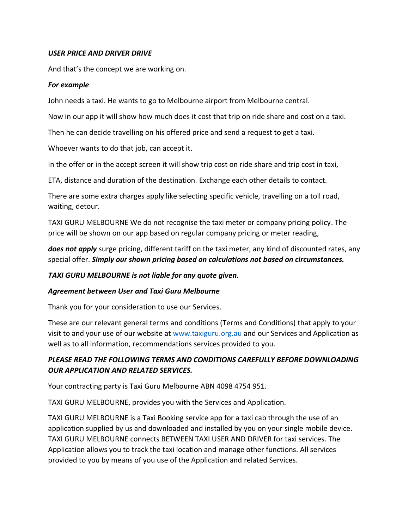### *USER PRICE AND DRIVER DRIVE*

And that's the concept we are working on.

#### *For example*

John needs a taxi. He wants to go to Melbourne airport from Melbourne central.

Now in our app it will show how much does it cost that trip on ride share and cost on a taxi.

Then he can decide travelling on his offered price and send a request to get a taxi.

Whoever wants to do that job, can accept it.

In the offer or in the accept screen it will show trip cost on ride share and trip cost in taxi,

ETA, distance and duration of the destination. Exchange each other details to contact.

There are some extra charges apply like selecting specific vehicle, travelling on a toll road, waiting, detour.

TAXI GURU MELBOURNE We do not recognise the taxi meter or company pricing policy. The price will be shown on our app based on regular company pricing or meter reading,

*does not apply* surge pricing, different tariff on the taxi meter, any kind of discounted rates, any special offer. *Simply our shown pricing based on calculations not based on circumstances.*

#### *TAXI GURU MELBOURNE is not liable for any quote given.*

#### *Agreement between User and Taxi Guru Melbourne*

Thank you for your consideration to use our Services.

These are our relevant general terms and conditions (Terms and Conditions) that apply to your visit to and your use of our website at www.taxiguru.org.au and our Services and Application as well as to all information, recommendations services provided to you.

# *PLEASE READ THE FOLLOWING TERMS AND CONDITIONS CAREFULLY BEFORE DOWNLOADING OUR APPLICATION AND RELATED SERVICES.*

Your contracting party is Taxi Guru Melbourne ABN 4098 4754 951.

TAXI GURU MELBOURNE, provides you with the Services and Application.

TAXI GURU MELBOURNE is a Taxi Booking service app for a taxi cab through the use of an application supplied by us and downloaded and installed by you on your single mobile device. TAXI GURU MELBOURNE connects BETWEEN TAXI USER AND DRIVER for taxi services. The Application allows you to track the taxi location and manage other functions. All services provided to you by means of you use of the Application and related Services.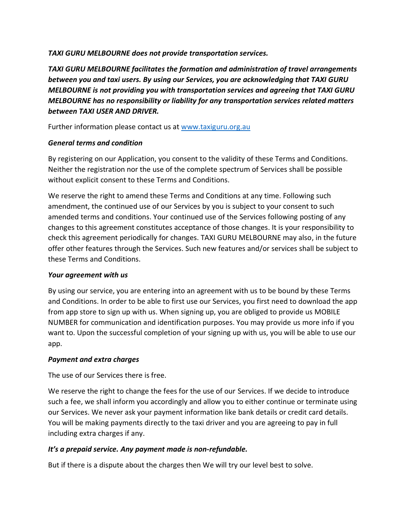### *TAXI GURU MELBOURNE does not provide transportation services.*

*TAXI GURU MELBOURNE facilitates the formation and administration of travel arrangements between you and taxi users. By using our Services, you are acknowledging that TAXI GURU MELBOURNE is not providing you with transportation services and agreeing that TAXI GURU MELBOURNE has no responsibility or liability for any transportation services related matters between TAXI USER AND DRIVER.*

Further information please contact us at [www.taxiguru.org.au](http://www.taxiguru.org.au/)

### *General terms and condition*

By registering on our Application, you consent to the validity of these Terms and Conditions. Neither the registration nor the use of the complete spectrum of Services shall be possible without explicit consent to these Terms and Conditions.

We reserve the right to amend these Terms and Conditions at any time. Following such amendment, the continued use of our Services by you is subject to your consent to such amended terms and conditions. Your continued use of the Services following posting of any changes to this agreement constitutes acceptance of those changes. It is your responsibility to check this agreement periodically for changes. TAXI GURU MELBOURNE may also, in the future offer other features through the Services. Such new features and/or services shall be subject to these Terms and Conditions.

# *Your agreement with us*

By using our service, you are entering into an agreement with us to be bound by these Terms and Conditions. In order to be able to first use our Services, you first need to download the app from app store to sign up with us. When signing up, you are obliged to provide us MOBILE NUMBER for communication and identification purposes. You may provide us more info if you want to. Upon the successful completion of your signing up with us, you will be able to use our app.

# *Payment and extra charges*

The use of our Services there is free.

We reserve the right to change the fees for the use of our Services. If we decide to introduce such a fee, we shall inform you accordingly and allow you to either continue or terminate using our Services. We never ask your payment information like bank details or credit card details. You will be making payments directly to the taxi driver and you are agreeing to pay in full including extra charges if any.

# *It's a prepaid service. Any payment made is non-refundable.*

But if there is a dispute about the charges then We will try our level best to solve.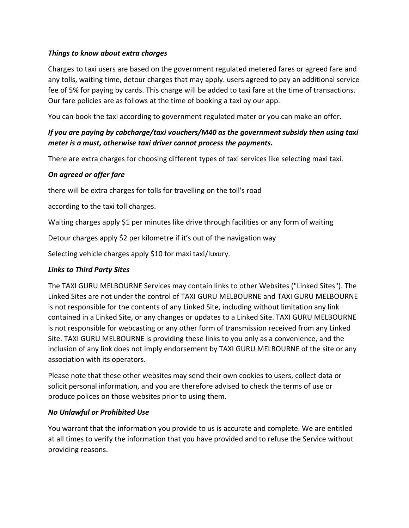### *Things to know about extra charges*

Charges to taxi users are based on the government regulated metered fares or agreed fare and any tolls, waiting time, detour charges that may apply. users agreed to pay an additional service fee of 5% for paying by cards. This charge will be added to taxi fare at the time of transactions. Our fare policies are as follows at the time of booking a taxi by our app.

You can book the taxi according to government regulated mater or you can make an offer.

# *If you are paying by cabcharge/taxi vouchers/M40 as the government subsidy then using taxi meter is a must, otherwise taxi driver cannot process the payments.*

There are extra charges for choosing different types of taxi services like selecting maxi taxi.

# *On agreed or offer fare*

there will be extra charges for tolls for travelling on the toll's road

according to the taxi toll charges.

Waiting charges apply \$1 per minutes like drive through facilities or any form of waiting

Detour charges apply \$2 per kilometre if it's out of the navigation way

Selecting vehicle charges apply \$10 for maxi taxi/luxury.

#### *Links to Third Party Sites*

The TAXI GURU MELBOURNE Services may contain links to other Websites ("Linked Sites"). The Linked Sites are not under the control of TAXI GURU MELBOURNE and TAXI GURU MELBOURNE is not responsible for the contents of any Linked Site, including without limitation any link contained in a Linked Site, or any changes or updates to a Linked Site. TAXI GURU MELBOURNE is not responsible for webcasting or any other form of transmission received from any Linked Site. TAXI GURU MELBOURNE is providing these links to you only as a convenience, and the inclusion of any link does not imply endorsement by TAXI GURU MELBOURNE of the site or any association with its operators.

Please note that these other websites may send their own cookies to users, collect data or solicit personal information, and you are therefore advised to check the terms of use or produce polices on those websites prior to using them.

#### *No Unlawful or Prohibited Use*

You warrant that the information you provide to us is accurate and complete. We are entitled at all times to verify the information that you have provided and to refuse the Service without providing reasons.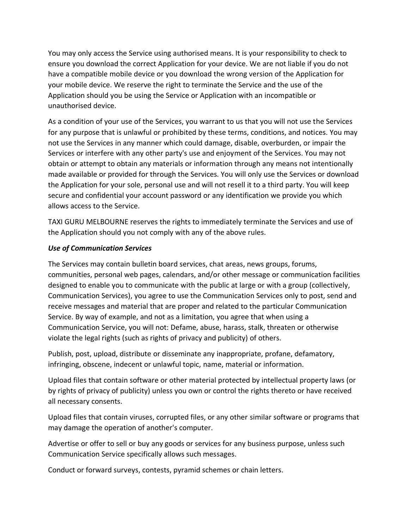You may only access the Service using authorised means. It is your responsibility to check to ensure you download the correct Application for your device. We are not liable if you do not have a compatible mobile device or you download the wrong version of the Application for your mobile device. We reserve the right to terminate the Service and the use of the Application should you be using the Service or Application with an incompatible or unauthorised device.

As a condition of your use of the Services, you warrant to us that you will not use the Services for any purpose that is unlawful or prohibited by these terms, conditions, and notices. You may not use the Services in any manner which could damage, disable, overburden, or impair the Services or interfere with any other party's use and enjoyment of the Services. You may not obtain or attempt to obtain any materials or information through any means not intentionally made available or provided for through the Services. You will only use the Services or download the Application for your sole, personal use and will not resell it to a third party. You will keep secure and confidential your account password or any identification we provide you which allows access to the Service.

TAXI GURU MELBOURNE reserves the rights to immediately terminate the Services and use of the Application should you not comply with any of the above rules.

#### *Use of Communication Services*

The Services may contain bulletin board services, chat areas, news groups, forums, communities, personal web pages, calendars, and/or other message or communication facilities designed to enable you to communicate with the public at large or with a group (collectively, Communication Services), you agree to use the Communication Services only to post, send and receive messages and material that are proper and related to the particular Communication Service. By way of example, and not as a limitation, you agree that when using a Communication Service, you will not: Defame, abuse, harass, stalk, threaten or otherwise violate the legal rights (such as rights of privacy and publicity) of others.

Publish, post, upload, distribute or disseminate any inappropriate, profane, defamatory, infringing, obscene, indecent or unlawful topic, name, material or information.

Upload files that contain software or other material protected by intellectual property laws (or by rights of privacy of publicity) unless you own or control the rights thereto or have received all necessary consents.

Upload files that contain viruses, corrupted files, or any other similar software or programs that may damage the operation of another's computer.

Advertise or offer to sell or buy any goods or services for any business purpose, unless such Communication Service specifically allows such messages.

Conduct or forward surveys, contests, pyramid schemes or chain letters.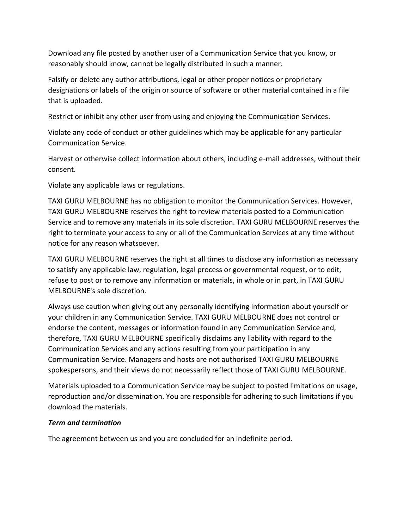Download any file posted by another user of a Communication Service that you know, or reasonably should know, cannot be legally distributed in such a manner.

Falsify or delete any author attributions, legal or other proper notices or proprietary designations or labels of the origin or source of software or other material contained in a file that is uploaded.

Restrict or inhibit any other user from using and enjoying the Communication Services.

Violate any code of conduct or other guidelines which may be applicable for any particular Communication Service.

Harvest or otherwise collect information about others, including e-mail addresses, without their consent.

Violate any applicable laws or regulations.

TAXI GURU MELBOURNE has no obligation to monitor the Communication Services. However, TAXI GURU MELBOURNE reserves the right to review materials posted to a Communication Service and to remove any materials in its sole discretion. TAXI GURU MELBOURNE reserves the right to terminate your access to any or all of the Communication Services at any time without notice for any reason whatsoever.

TAXI GURU MELBOURNE reserves the right at all times to disclose any information as necessary to satisfy any applicable law, regulation, legal process or governmental request, or to edit, refuse to post or to remove any information or materials, in whole or in part, in TAXI GURU MELBOURNE's sole discretion.

Always use caution when giving out any personally identifying information about yourself or your children in any Communication Service. TAXI GURU MELBOURNE does not control or endorse the content, messages or information found in any Communication Service and, therefore, TAXI GURU MELBOURNE specifically disclaims any liability with regard to the Communication Services and any actions resulting from your participation in any Communication Service. Managers and hosts are not authorised TAXI GURU MELBOURNE spokespersons, and their views do not necessarily reflect those of TAXI GURU MELBOURNE.

Materials uploaded to a Communication Service may be subject to posted limitations on usage, reproduction and/or dissemination. You are responsible for adhering to such limitations if you download the materials.

#### *Term and termination*

The agreement between us and you are concluded for an indefinite period.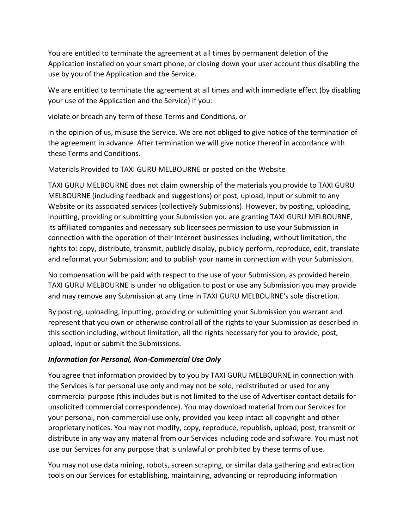You are entitled to terminate the agreement at all times by permanent deletion of the Application installed on your smart phone, or closing down your user account thus disabling the use by you of the Application and the Service.

We are entitled to terminate the agreement at all times and with immediate effect (by disabling your use of the Application and the Service) if you:

violate or breach any term of these Terms and Conditions, or

in the opinion of us, misuse the Service. We are not obliged to give notice of the termination of the agreement in advance. After termination we will give notice thereof in accordance with these Terms and Conditions.

Materials Provided to TAXI GURU MELBOURNE or posted on the Website

TAXI GURU MELBOURNE does not claim ownership of the materials you provide to TAXI GURU MELBOURNE (including feedback and suggestions) or post, upload, input or submit to any Website or its associated services (collectively Submissions). However, by posting, uploading, inputting, providing or submitting your Submission you are granting TAXI GURU MELBOURNE, its affiliated companies and necessary sub licensees permission to use your Submission in connection with the operation of their Internet businesses including, without limitation, the rights to: copy, distribute, transmit, publicly display, publicly perform, reproduce, edit, translate and reformat your Submission; and to publish your name in connection with your Submission.

No compensation will be paid with respect to the use of your Submission, as provided herein. TAXI GURU MELBOURNE is under no obligation to post or use any Submission you may provide and may remove any Submission at any time in TAXI GURU MELBOURNE's sole discretion.

By posting, uploading, inputting, providing or submitting your Submission you warrant and represent that you own or otherwise control all of the rights to your Submission as described in this section including, without limitation, all the rights necessary for you to provide, post, upload, input or submit the Submissions.

# *Information for Personal, Non-Commercial Use Only*

You agree that information provided by to you by TAXI GURU MELBOURNE in connection with the Services is for personal use only and may not be sold, redistributed or used for any commercial purpose (this includes but is not limited to the use of Advertiser contact details for unsolicited commercial correspondence). You may download material from our Services for your personal, non-commercial use only, provided you keep intact all copyright and other proprietary notices. You may not modify, copy, reproduce, republish, upload, post, transmit or distribute in any way any material from our Services including code and software. You must not use our Services for any purpose that is unlawful or prohibited by these terms of use.

You may not use data mining, robots, screen scraping, or similar data gathering and extraction tools on our Services for establishing, maintaining, advancing or reproducing information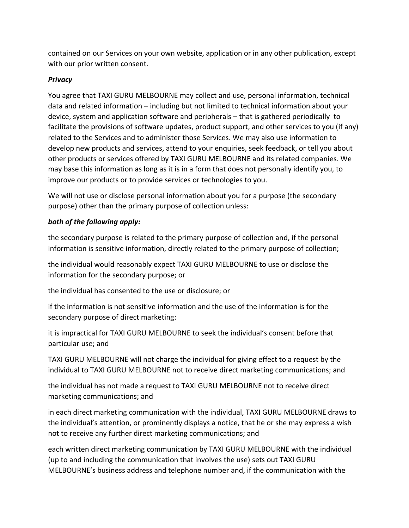contained on our Services on your own website, application or in any other publication, except with our prior written consent.

# *Privacy*

You agree that TAXI GURU MELBOURNE may collect and use, personal information, technical data and related information – including but not limited to technical information about your device, system and application software and peripherals – that is gathered periodically to facilitate the provisions of software updates, product support, and other services to you (if any) related to the Services and to administer those Services. We may also use information to develop new products and services, attend to your enquiries, seek feedback, or tell you about other products or services offered by TAXI GURU MELBOURNE and its related companies. We may base this information as long as it is in a form that does not personally identify you, to improve our products or to provide services or technologies to you.

We will not use or disclose personal information about you for a purpose (the secondary purpose) other than the primary purpose of collection unless:

# *both of the following apply:*

the secondary purpose is related to the primary purpose of collection and, if the personal information is sensitive information, directly related to the primary purpose of collection;

the individual would reasonably expect TAXI GURU MELBOURNE to use or disclose the information for the secondary purpose; or

the individual has consented to the use or disclosure; or

if the information is not sensitive information and the use of the information is for the secondary purpose of direct marketing:

it is impractical for TAXI GURU MELBOURNE to seek the individual's consent before that particular use; and

TAXI GURU MELBOURNE will not charge the individual for giving effect to a request by the individual to TAXI GURU MELBOURNE not to receive direct marketing communications; and

the individual has not made a request to TAXI GURU MELBOURNE not to receive direct marketing communications; and

in each direct marketing communication with the individual, TAXI GURU MELBOURNE draws to the individual's attention, or prominently displays a notice, that he or she may express a wish not to receive any further direct marketing communications; and

each written direct marketing communication by TAXI GURU MELBOURNE with the individual (up to and including the communication that involves the use) sets out TAXI GURU MELBOURNE's business address and telephone number and, if the communication with the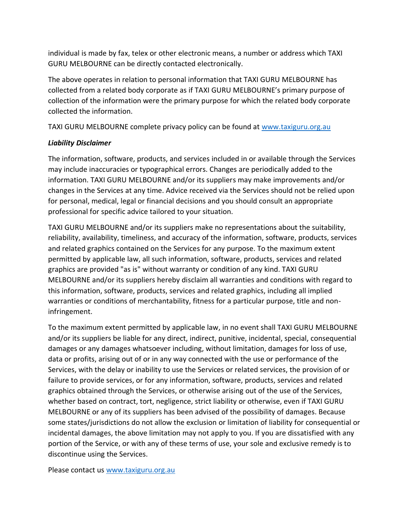individual is made by fax, telex or other electronic means, a number or address which TAXI GURU MELBOURNE can be directly contacted electronically.

The above operates in relation to personal information that TAXI GURU MELBOURNE has collected from a related body corporate as if TAXI GURU MELBOURNE's primary purpose of collection of the information were the primary purpose for which the related body corporate collected the information.

TAXI GURU MELBOURNE complete privacy policy can be found at www.taxiguru.org.au

# *Liability Disclaimer*

The information, software, products, and services included in or available through the Services may include inaccuracies or typographical errors. Changes are periodically added to the information. TAXI GURU MELBOURNE and/or its suppliers may make improvements and/or changes in the Services at any time. Advice received via the Services should not be relied upon for personal, medical, legal or financial decisions and you should consult an appropriate professional for specific advice tailored to your situation.

TAXI GURU MELBOURNE and/or its suppliers make no representations about the suitability, reliability, availability, timeliness, and accuracy of the information, software, products, services and related graphics contained on the Services for any purpose. To the maximum extent permitted by applicable law, all such information, software, products, services and related graphics are provided "as is" without warranty or condition of any kind. TAXI GURU MELBOURNE and/or its suppliers hereby disclaim all warranties and conditions with regard to this information, software, products, services and related graphics, including all implied warranties or conditions of merchantability, fitness for a particular purpose, title and noninfringement.

To the maximum extent permitted by applicable law, in no event shall TAXI GURU MELBOURNE and/or its suppliers be liable for any direct, indirect, punitive, incidental, special, consequential damages or any damages whatsoever including, without limitation, damages for loss of use, data or profits, arising out of or in any way connected with the use or performance of the Services, with the delay or inability to use the Services or related services, the provision of or failure to provide services, or for any information, software, products, services and related graphics obtained through the Services, or otherwise arising out of the use of the Services, whether based on contract, tort, negligence, strict liability or otherwise, even if TAXI GURU MELBOURNE or any of its suppliers has been advised of the possibility of damages. Because some states/jurisdictions do not allow the exclusion or limitation of liability for consequential or incidental damages, the above limitation may not apply to you. If you are dissatisfied with any portion of the Service, or with any of these terms of use, your sole and exclusive remedy is to discontinue using the Services.

Please contact us www.taxiguru.org.au